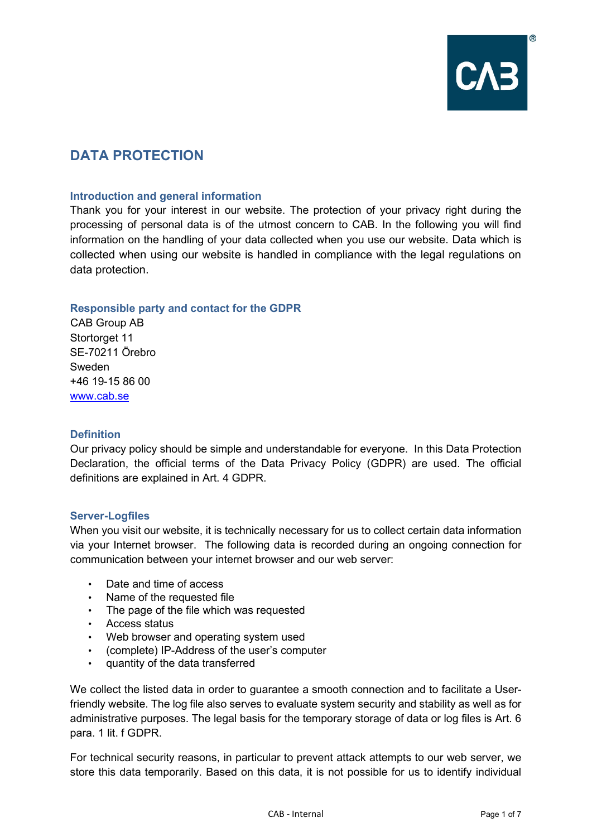

# **DATA PROTECTION**

## **Introduction and general information**

Thank you for your interest in our website. The protection of your privacy right during the processing of personal data is of the utmost concern to CAB. In the following you will find information on the handling of your data collected when you use our website. Data which is collected when using our website is handled in compliance with the legal regulations on data protection.

## **Responsible party and contact for the GDPR**

CAB Group AB Stortorget 11 SE-70211 Örebro Sweden +46 19-15 86 00 [www.cab.se](http://www.cab.se/)

#### **Definition**

Our privacy policy should be simple and understandable for everyone. In this Data Protection Declaration, the official terms of the Data Privacy Policy (GDPR) are used. The official definitions are explained in Art. 4 GDPR.

## **Server-Logfiles**

When you visit our website, it is technically necessary for us to collect certain data information via your Internet browser. The following data is recorded during an ongoing connection for communication between your internet browser and our web server:

- Date and time of access<br>• Name of the requested fo
- Name of the requested file
- The page of the file which was requested
- Access status
- Web browser and operating system used
- (complete) IP-Address of the user's computer
- quantity of the data transferred

We collect the listed data in order to guarantee a smooth connection and to facilitate a Userfriendly website. The log file also serves to evaluate system security and stability as well as for administrative purposes. The legal basis for the temporary storage of data or log files is Art. 6 para. 1 lit. f GDPR.

For technical security reasons, in particular to prevent attack attempts to our web server, we store this data temporarily. Based on this data, it is not possible for us to identify individual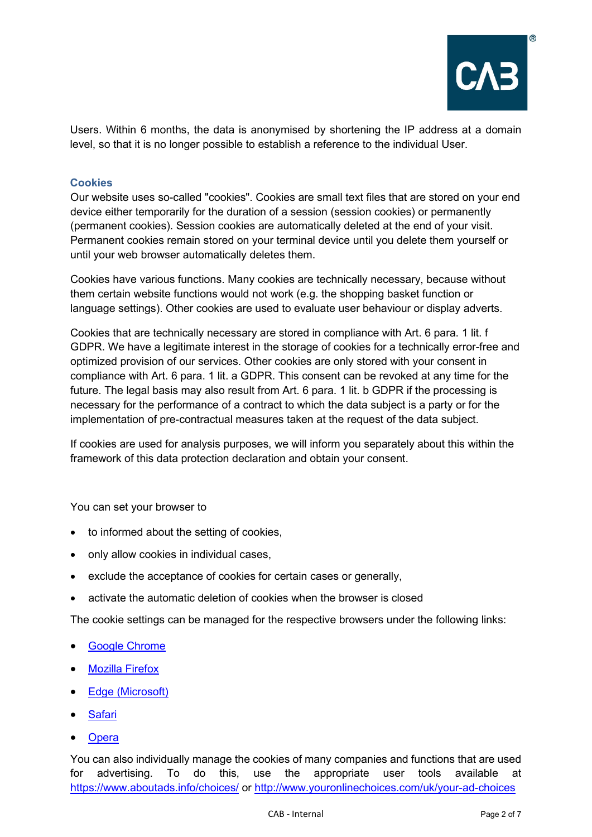

Users. Within 6 months, the data is anonymised by shortening the IP address at a domain level, so that it is no longer possible to establish a reference to the individual User.

# **Cookies**

Our website uses so-called "cookies". Cookies are small text files that are stored on your end device either temporarily for the duration of a session (session cookies) or permanently (permanent cookies). Session cookies are automatically deleted at the end of your visit. Permanent cookies remain stored on your terminal device until you delete them yourself or until your web browser automatically deletes them.

Cookies have various functions. Many cookies are technically necessary, because without them certain website functions would not work (e.g. the shopping basket function or language settings). Other cookies are used to evaluate user behaviour or display adverts.

Cookies that are technically necessary are stored in compliance with Art. 6 para. 1 lit. f GDPR. We have a legitimate interest in the storage of cookies for a technically error-free and optimized provision of our services. Other cookies are only stored with your consent in compliance with Art. 6 para. 1 lit. a GDPR. This consent can be revoked at any time for the future. The legal basis may also result from Art. 6 para. 1 lit. b GDPR if the processing is necessary for the performance of a contract to which the data subject is a party or for the implementation of pre-contractual measures taken at the request of the data subject.

If cookies are used for analysis purposes, we will inform you separately about this within the framework of this data protection declaration and obtain your consent.

You can set your browser to

- to informed about the setting of cookies,
- only allow cookies in individual cases,
- exclude the acceptance of cookies for certain cases or generally,
- activate the automatic deletion of cookies when the browser is closed

The cookie settings can be managed for the respective browsers under the following links:

- **[Google Chrome](http://support.google.com/chrome/bin/answer.py?hl=de&hlrm=en&answer=95647)**
- **[Mozilla Firefox](https://support.mozilla.org/de/kb/cookies-erlauben-und-ablehnen)**
- [Edge \(Microsoft\)](http://windows.microsoft.com/de-DE/windows-vista/Block-or-allow-cookies)
- **[Safari](https://support.apple.com/de-de/guide/safari/sfri11471/mac)**
- **Opera**

You can also individually manage the cookies of many companies and functions that are used for advertising. To do this, use the appropriate user tools available at <https://www.aboutads.info/choices/> or<http://www.youronlinechoices.com/uk/your-ad-choices>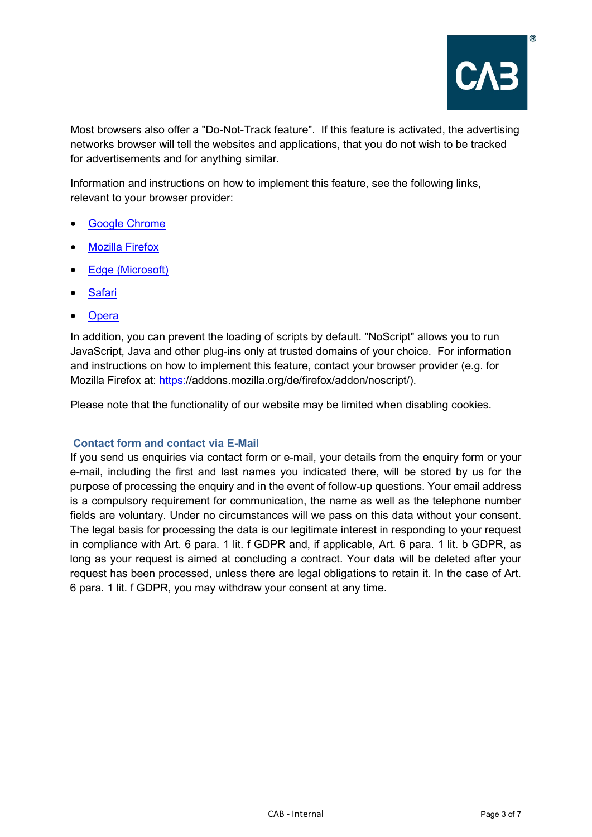

Most browsers also offer a "Do-Not-Track feature". If this feature is activated, the advertising networks browser will tell the websites and applications, that you do not wish to be tracked for advertisements and for anything similar.

Information and instructions on how to implement this feature, see the following links, relevant to your browser provider:

- [Google Chrome](https://support.google.com/chrome/answer/2790761?co=GENIE.Platform%3DDesktop&hl=de)
- **Mozilla Firefox**
- [Edge \(Microsoft\)](https://support.microsoft.com/de-de/help/17288/windows-internet-explorer-11-use-do-not-track)
- **[Safari](https://support.apple.com/de-de/guide/safari/sfri40732/13.0/mac/10.15)**
- **[Opera](http://help.opera.com/Windows/12.10/de/notrack.html)**

In addition, you can prevent the loading of scripts by default. "NoScript" allows you to run JavaScript, Java and other plug-ins only at trusted domains of your choice. For information and instructions on how to implement this feature, contact your browser provider (e.g. for Mozilla Firefox at: [https:/](https://addons.mozilla.org/de/firefox/addon/noscript/)/addons.mozilla.org/de/firefox/addon/noscript/).

Please note that the functionality of our website may be limited when disabling cookies.

## **Contact form and contact via E-Mail**

If you send us enquiries via contact form or e-mail, your details from the enquiry form or your e-mail, including the first and last names you indicated there, will be stored by us for the purpose of processing the enquiry and in the event of follow-up questions. Your email address is a compulsory requirement for communication, the name as well as the telephone number fields are voluntary. Under no circumstances will we pass on this data without your consent. The legal basis for processing the data is our legitimate interest in responding to your request in compliance with Art. 6 para. 1 lit. f GDPR and, if applicable, Art. 6 para. 1 lit. b GDPR, as long as your request is aimed at concluding a contract. Your data will be deleted after your request has been processed, unless there are legal obligations to retain it. In the case of Art. 6 para. 1 lit. f GDPR, you may withdraw your consent at any time.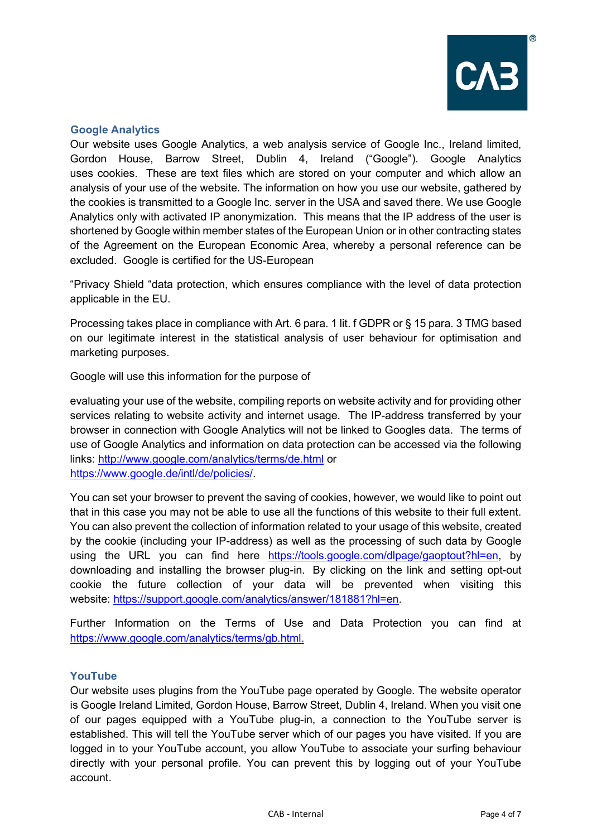## **Google Analytics**

Our website uses Google Analytics, a web analysis service of Google Inc., Ireland limited, Gordon House, Barrow Street, Dublin 4, Ireland ("Google"). Google Analytics uses cookies. These are text files which are stored on your computer and which allow an analysis of your use of the website. The information on how you use our website, gathered by the cookies is transmitted to a Google Inc. server in the USA and saved there. We use Google Analytics only with activated IP anonymization. This means that the IP address of the user is shortened by Google within member states of the European Union or in other contracting states of the Agreement on the European Economic Area, whereby a personal reference can be excluded. Google is certified for the US-European

"Privacy Shield "data protection, which ensures compliance with the level of data protection applicable in the EU.

Processing takes place in compliance with Art. 6 para. 1 lit. f GDPR or § 15 para. 3 TMG based on our legitimate interest in the statistical analysis of user behaviour for optimisation and marketing purposes.

Google will use this information for the purpose of

evaluating your use of the website, compiling reports on website activity and for providing other services relating to website activity and internet usage. The IP-address transferred by your browser in connection with Google Analytics will not be linked to Googles data. The terms of use of Google Analytics and information on data protection can be accessed via the following links: <http://www.google.com/analytics/terms/de.html> or [https://www.google.de/intl/de/policies/.](https://www.google.de/intl/de/policies/)

You can set your browser to prevent the saving of cookies, however, we would like to point out that in this case you may not be able to use all the functions of this website to their full extent. You can also prevent the collection of information related to your usage of this website, created by the cookie (including your IP-address) as well as the processing of such data by Google using the URL you can find here [https://tools.google.com/dlpage/gaoptout?hl=en,](https://tools.google.com/dlpage/gaoptout?hl=en) by downloading and installing the browser plug-in. By clicking on the link and setting opt-out cookie the future collection of your data will be prevented when visiting this website: [https://support.google.com/analytics/answer/181881?hl=en.](https://support.google.com/analytics/answer/181881?hl=en)

Further Information on the Terms of Use and Data Protection you can find at [https://www.google.com/analytics/terms/gb.html.](https://www.google.com/analytics/terms/gb.html)

#### **YouTube**

Our website uses plugins from the YouTube page operated by Google. The website operator is Google Ireland Limited, Gordon House, Barrow Street, Dublin 4, Ireland. When you visit one of our pages equipped with a YouTube plug-in, a connection to the YouTube server is established. This will tell the YouTube server which of our pages you have visited. If you are logged in to your YouTube account, you allow YouTube to associate your surfing behaviour directly with your personal profile. You can prevent this by logging out of your YouTube account.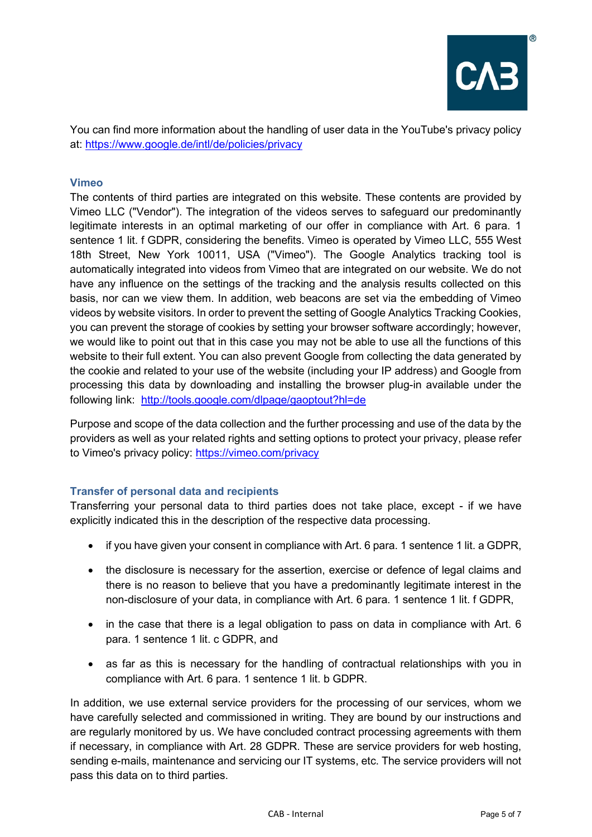

You can find more information about the handling of user data in the YouTube's privacy policy at:<https://www.google.de/intl/de/policies/privacy>

# **Vimeo**

The contents of third parties are integrated on this website. These contents are provided by Vimeo LLC ("Vendor"). The integration of the videos serves to safeguard our predominantly legitimate interests in an optimal marketing of our offer in compliance with Art. 6 para. 1 sentence 1 lit. f GDPR, considering the benefits. Vimeo is operated by Vimeo LLC, 555 West 18th Street, New York 10011, USA ("Vimeo"). The Google Analytics tracking tool is automatically integrated into videos from Vimeo that are integrated on our website. We do not have any influence on the settings of the tracking and the analysis results collected on this basis, nor can we view them. In addition, web beacons are set via the embedding of Vimeo videos by website visitors. In order to prevent the setting of Google Analytics Tracking Cookies, you can prevent the storage of cookies by setting your browser software accordingly; however, we would like to point out that in this case you may not be able to use all the functions of this website to their full extent. You can also prevent Google from collecting the data generated by the cookie and related to your use of the website (including your IP address) and Google from processing this data by downloading and installing the browser plug-in available under the following link: <http://tools.google.com/dlpage/gaoptout?hl=de>

Purpose and scope of the data collection and the further processing and use of the data by the providers as well as your related rights and setting options to protect your privacy, please refer to Vimeo's privacy policy:<https://vimeo.com/privacy>

## **Transfer of personal data and recipients**

Transferring your personal data to third parties does not take place, except - if we have explicitly indicated this in the description of the respective data processing.

- if you have given your consent in compliance with Art. 6 para. 1 sentence 1 lit. a GDPR,
- the disclosure is necessary for the assertion, exercise or defence of legal claims and there is no reason to believe that you have a predominantly legitimate interest in the non-disclosure of your data, in compliance with Art. 6 para. 1 sentence 1 lit. f GDPR,
- in the case that there is a legal obligation to pass on data in compliance with Art. 6 para. 1 sentence 1 lit. c GDPR, and
- as far as this is necessary for the handling of contractual relationships with you in compliance with Art. 6 para. 1 sentence 1 lit. b GDPR.

In addition, we use external service providers for the processing of our services, whom we have carefully selected and commissioned in writing. They are bound by our instructions and are regularly monitored by us. We have concluded contract processing agreements with them if necessary, in compliance with Art. 28 GDPR. These are service providers for web hosting, sending e-mails, maintenance and servicing our IT systems, etc. The service providers will not pass this data on to third parties.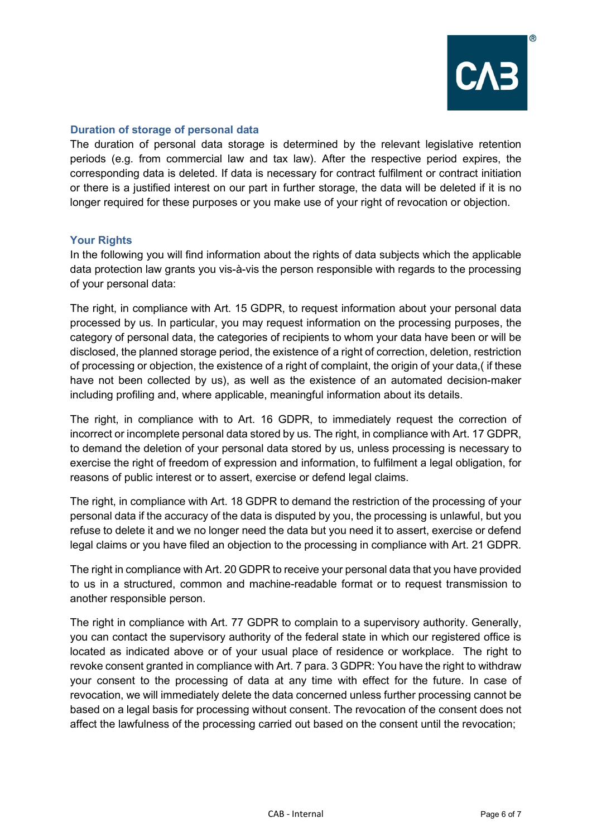## **Duration of storage of personal data**

The duration of personal data storage is determined by the relevant legislative retention periods (e.g. from commercial law and tax law). After the respective period expires, the corresponding data is deleted. If data is necessary for contract fulfilment or contract initiation or there is a justified interest on our part in further storage, the data will be deleted if it is no longer required for these purposes or you make use of your right of revocation or objection.

## **Your Rights**

In the following you will find information about the rights of data subjects which the applicable data protection law grants you vis-à-vis the person responsible with regards to the processing of your personal data:

The right, in compliance with Art. 15 GDPR, to request information about your personal data processed by us. In particular, you may request information on the processing purposes, the category of personal data, the categories of recipients to whom your data have been or will be disclosed, the planned storage period, the existence of a right of correction, deletion, restriction of processing or objection, the existence of a right of complaint, the origin of your data,( if these have not been collected by us), as well as the existence of an automated decision-maker including profiling and, where applicable, meaningful information about its details.

The right, in compliance with to Art. 16 GDPR, to immediately request the correction of incorrect or incomplete personal data stored by us. The right, in compliance with Art. 17 GDPR, to demand the deletion of your personal data stored by us, unless processing is necessary to exercise the right of freedom of expression and information, to fulfilment a legal obligation, for reasons of public interest or to assert, exercise or defend legal claims.

The right, in compliance with Art. 18 GDPR to demand the restriction of the processing of your personal data if the accuracy of the data is disputed by you, the processing is unlawful, but you refuse to delete it and we no longer need the data but you need it to assert, exercise or defend legal claims or you have filed an objection to the processing in compliance with Art. 21 GDPR.

The right in compliance with Art. 20 GDPR to receive your personal data that you have provided to us in a structured, common and machine-readable format or to request transmission to another responsible person.

The right in compliance with Art. 77 GDPR to complain to a supervisory authority. Generally, you can contact the supervisory authority of the federal state in which our registered office is located as indicated above or of your usual place of residence or workplace. The right to revoke consent granted in compliance with Art. 7 para. 3 GDPR: You have the right to withdraw your consent to the processing of data at any time with effect for the future. In case of revocation, we will immediately delete the data concerned unless further processing cannot be based on a legal basis for processing without consent. The revocation of the consent does not affect the lawfulness of the processing carried out based on the consent until the revocation;